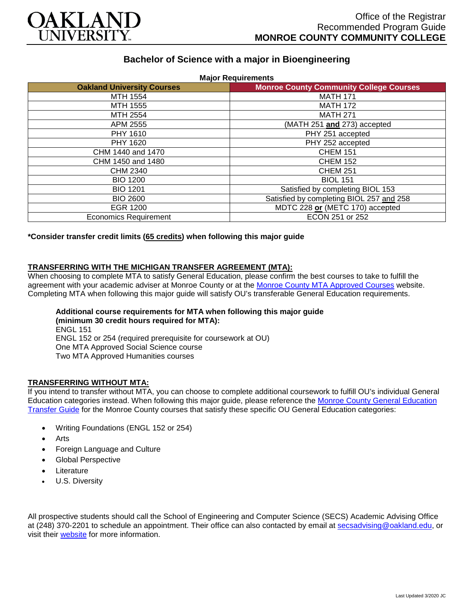

# **Bachelor of Science with a major in Bioengineering**

| <b>Oakland University Courses</b> | <b>Monroe County Community College Courses</b> |
|-----------------------------------|------------------------------------------------|
| MTH 1554                          | <b>MATH 171</b>                                |
| MTH 1555                          | <b>MATH 172</b>                                |
| MTH 2554                          | <b>MATH 271</b>                                |
| APM 2555                          | (MATH 251 and 273) accepted                    |
| PHY 1610                          | PHY 251 accepted                               |
| PHY 1620                          | PHY 252 accepted                               |
| CHM 1440 and 1470                 | <b>CHEM 151</b>                                |
| CHM 1450 and 1480                 | <b>CHEM 152</b>                                |
| CHM 2340                          | <b>CHEM 251</b>                                |
| <b>BIO 1200</b>                   | <b>BIOL 151</b>                                |
| <b>BIO 1201</b>                   | Satisfied by completing BIOL 153               |
| <b>BIO 2600</b>                   | Satisfied by completing BIOL 257 and 258       |
| <b>EGR 1200</b>                   | MDTC 228 or (METC 170) accepted                |
| <b>Economics Requirement</b>      | ECON 251 or 252                                |

**\*Consider transfer credit limits (65 credits) when following this major guide**

## **TRANSFERRING WITH THE MICHIGAN TRANSFER AGREEMENT (MTA):**

When choosing to complete MTA to satisfy General Education, please confirm the best courses to take to fulfill the agreement with your academic adviser at Monroe County or at the [Monroe County MTA Approved Courses](https://www.monroeccc.edu/transfer/michigan-transfer-agreement) website. Completing MTA when following this major guide will satisfy OU's transferable General Education requirements.

**Additional course requirements for MTA when following this major guide (minimum 30 credit hours required for MTA):** ENGL 151 ENGL 152 or 254 (required prerequisite for coursework at OU) One MTA Approved Social Science course Two MTA Approved Humanities courses

#### **TRANSFERRING WITHOUT MTA:**

If you intend to transfer without MTA, you can choose to complete additional coursework to fulfill OU's individual General Education categories instead. When following this major guide, please reference the [Monroe County General Education](https://www.oakland.edu/Assets/Oakland/program-guides/monroe-county-community-college/university-general-education-requirements/Monroe%20County%20Gen%20Ed.pdf)  [Transfer Guide](https://www.oakland.edu/Assets/Oakland/program-guides/monroe-county-community-college/university-general-education-requirements/Monroe%20County%20Gen%20Ed.pdf) for the Monroe County courses that satisfy these specific OU General Education categories:

- Writing Foundations (ENGL 152 or 254)
- **Arts**
- Foreign Language and Culture
- Global Perspective
- **Literature**
- U.S. Diversity

All prospective students should call the School of Engineering and Computer Science (SECS) Academic Advising Office at (248) 370-2201 to schedule an appointment. Their office can also contacted by email at [secsadvising@oakland.edu,](mailto:secsadvising@oakland.edu) or visit their [website](https://wwwp.oakland.edu/secs/advising/) for more information.